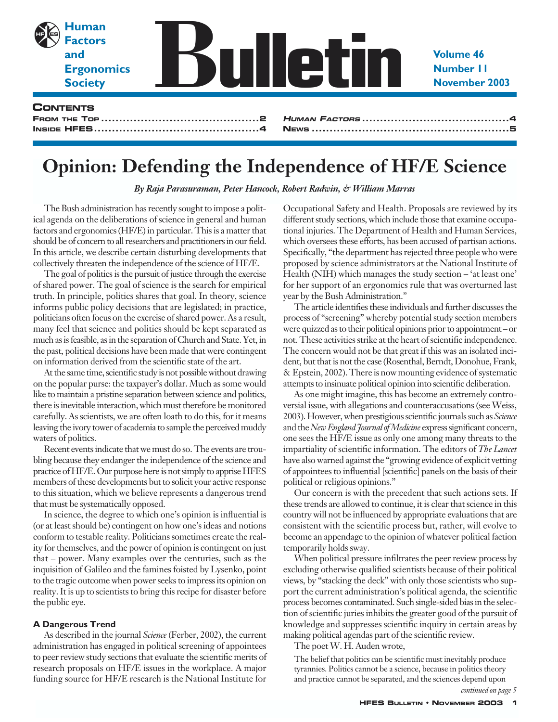

# **Opinion: Defending the Independence of HF/E Science**

*By Raja Parasuraman, Peter Hancock, Robert Radwin, & William Marras*

The Bush administration has recently sought to impose a political agenda on the deliberations of science in general and human factors and ergonomics (HF/E) in particular. This is a matter that should be of concern to all researchers and practitioners in our field. In this article, we describe certain disturbing developments that collectively threaten the independence of the science of HF/E.

The goal of politics is the pursuit of justice through the exercise of shared power. The goal of science is the search for empirical truth. In principle, politics shares that goal. In theory, science informs public policy decisions that are legislated; in practice, politicians often focus on the exercise of shared power. As a result, many feel that science and politics should be kept separated as much as is feasible, as in the separation of Church and State. Yet, in the past, political decisions have been made that were contingent on information derived from the scientific state of the art.

At the same time, scientific study is not possible without drawing on the popular purse: the taxpayer's dollar. Much as some would like to maintain a pristine separation between science and politics, there is inevitable interaction, which must therefore be monitored carefully. As scientists, we are often loath to do this, for it means leaving the ivory tower of academia to sample the perceived muddy waters of politics.

Recent events indicate that we must do so. The events are troubling because they endanger the independence of the science and practice of HF/E. Our purpose here is not simply to apprise HFES members of these developments but to solicit your active response to this situation, which we believe represents a dangerous trend that must be systematically opposed.

In science, the degree to which one's opinion is influential is (or at least should be) contingent on how one's ideas and notions conform to testable reality. Politicians sometimes create the reality for themselves, and the power of opinion is contingent on just that – power. Many examples over the centuries, such as the inquisition of Galileo and the famines foisted by Lysenko, point to the tragic outcome when power seeks to impress its opinion on reality. It is up to scientists to bring this recipe for disaster before the public eye.

### **A Dangerous Trend**

As described in the journal *Science* (Ferber, 2002), the current administration has engaged in political screening of appointees to peer review study sections that evaluate the scientific merits of research proposals on HF/E issues in the workplace. A major funding source for HF/E research is the National Institute for

Occupational Safety and Health. Proposals are reviewed by its different study sections, which include those that examine occupational injuries. The Department of Health and Human Services, which oversees these efforts, has been accused of partisan actions. Specifically, "the department has rejected three people who were proposed by science administrators at the National Institute of Health (NIH) which manages the study section – 'at least one' for her support of an ergonomics rule that was overturned last year by the Bush Administration."

The article identifies these individuals and further discusses the process of "screening" whereby potential study section members were quizzed as to their political opinions prior to appointment – or not. These activities strike at the heart of scientific independence. The concern would not be that great if this was an isolated incident, but that is not the case (Rosenthal, Berndt, Donohue, Frank, & Epstein, 2002). There is now mounting evidence of systematic attempts to insinuate political opinion into scientific deliberation.

As one might imagine, this has become an extremely controversial issue, with allegations and counteraccusations (see Weiss, 2003). However, when prestigious scientific journals such as *Science* and the *New England Journal of Medicine* express significant concern, one sees the HF/E issue as only one among many threats to the impartiality of scientific information. The editors of *The Lancet* have also warned against the "growing evidence of explicit vetting of appointees to influential [scientific] panels on the basis of their political or religious opinions."

Our concern is with the precedent that such actions sets. If these trends are allowed to continue, it is clear that science in this country will not be influenced by appropriate evaluations that are consistent with the scientific process but, rather, will evolve to become an appendage to the opinion of whatever political faction temporarily holds sway.

When political pressure infiltrates the peer review process by excluding otherwise qualified scientists because of their political views, by "stacking the deck" with only those scientists who support the current administration's political agenda, the scientific process becomes contaminated. Such single-sided bias in the selection of scientific juries inhibits the greater good of the pursuit of knowledge and suppresses scientific inquiry in certain areas by making political agendas part of the scientific review.

The poet W. H. Auden wrote,

The belief that politics can be scientific must inevitably produce tyrannies. Politics cannot be a science, because in politics theory and practice cannot be separated, and the sciences depend upon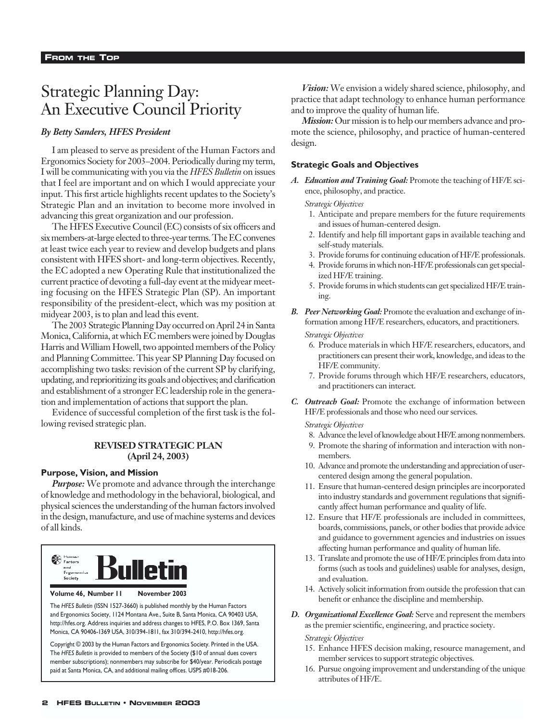# Strategic Planning Day: An Executive Council Priority

### *By Betty Sanders, HFES President*

I am pleased to serve as president of the Human Factors and Ergonomics Society for 2003–2004. Periodically during my term, I will be communicating with you via the *HFES Bulletin* on issues that I feel are important and on which I would appreciate your input. This first article highlights recent updates to the Society's Strategic Plan and an invitation to become more involved in advancing this great organization and our profession.

The HFES Executive Council (EC) consists of six officers and six members-at-large elected to three-year terms. The EC convenes at least twice each year to review and develop budgets and plans consistent with HFES short- and long-term objectives. Recently, the EC adopted a new Operating Rule that institutionalized the current practice of devoting a full-day event at the midyear meeting focusing on the HFES Strategic Plan (SP). An important responsibility of the president-elect, which was my position at midyear 2003, is to plan and lead this event.

The 2003 Strategic Planning Day occurred on April 24 in Santa Monica, California, at which EC members were joined by Douglas Harris and William Howell, two appointed members of the Policy and Planning Committee. This year SP Planning Day focused on accomplishing two tasks: revision of the current SP by clarifying, updating, and reprioritizing its goals and objectives; and clarification and establishment of a stronger EC leadership role in the generation and implementation of actions that support the plan.

Evidence of successful completion of the first task is the following revised strategic plan.

### **REVISED STRATEGIC PLAN (April 24, 2003)**

### **Purpose, Vision, and Mission**

*Purpose:* We promote and advance through the interchange of knowledge and methodology in the behavioral, biological, and physical sciences the understanding of the human factors involved in the design, manufacture, and use of machine systems and devices of all kinds.



**Volume 46, Number 11 November 2003**

The *HFES Bulletin* (ISSN 1527-3660) is published monthly by the Human Factors and Ergonomics Society, 1124 Montana Ave., Suite B, Santa Monica, CA 90403 USA, http://hfes.org. Address inquiries and address changes to HFES, P.O. Box 1369, Santa Monica, CA 90406-1369 USA, 310/394-1811, fax 310/394-2410, http://hfes.org.

Copyright © 2003 by the Human Factors and Ergonomics Society. Printed in the USA. The *HFES Bulletin* is provided to members of the Society (\$10 of annual dues covers member subscriptions); nonmembers may subscribe for \$40/year. Periodicals postage paid at Santa Monica, CA, and additional mailing offices. USPS #018-206.

*Vision:* We envision a widely shared science, philosophy, and practice that adapt technology to enhance human performance and to improve the quality of human life.

*Mission:* Our mission is to help our members advance and promote the science, philosophy, and practice of human-centered design.

### **Strategic Goals and Objectives**

*A. Education and Training Goal:* Promote the teaching of HF/E science, philosophy, and practice.

#### *Strategic Objectives*

- 1. Anticipate and prepare members for the future requirements and issues of human-centered design.
- 2. Identify and help fill important gaps in available teaching and self-study materials.
- 3. Provide forums for continuing education of HF/E professionals.
- 4. Provide forums in which non-HF/E professionals can get specialized HF/E training.
- 5. Provide forums in which students can get specialized HF/E training.
- *B. Peer Networking Goal:* Promote the evaluation and exchange of information among HF/E researchers, educators, and practitioners.

*Strategic Objectives*

- 6. Produce materials in which HF/E researchers, educators, and practitioners can present their work, knowledge, and ideas to the HF/E community.
- 7. Provide forums through which HF/E researchers, educators, and practitioners can interact.
- *C. Outreach Goal:* Promote the exchange of information between HF/E professionals and those who need our services.

*Strategic Objectives*

- 8. Advance the level of knowledge about HF/E among nonmembers.
- 9. Promote the sharing of information and interaction with nonmembers.
- 10. Advance and promote the understanding and appreciation of usercentered design among the general population.
- 11. Ensure that human-centered design principles are incorporated into industry standards and government regulations that significantly affect human performance and quality of life.
- 12. Ensure that HF/E professionals are included in committees, boards, commissions, panels, or other bodies that provide advice and guidance to government agencies and industries on issues affecting human performance and quality of human life.
- 13. Translate and promote the use of HF/E principles from data into forms (such as tools and guidelines) usable for analyses, design, and evaluation.
- 14. Actively solicit information from outside the profession that can benefit or enhance the discipline and membership.
- *D. Organizational Excellence Goal:* Serve and represent the members as the premier scientific, engineering, and practice society.

*Strategic Objectives*

- 15. Enhance HFES decision making, resource management, and member services to support strategic objectives.
- 16. Pursue ongoing improvement and understanding of the unique attributes of HF/E.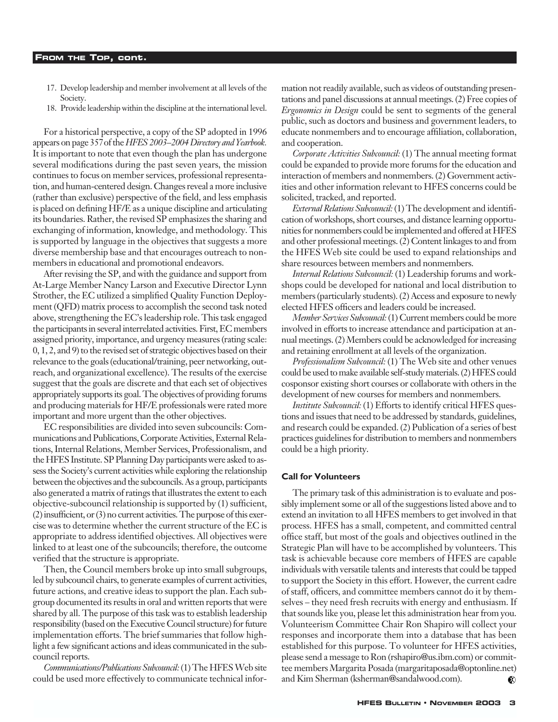- 17. Develop leadership and member involvement at all levels of the Society.
- 18. Provide leadership within the discipline at the international level.

For a historical perspective, a copy of the SP adopted in 1996 appears on page 357of the *HFES 2003–2004 Directory and Yearbook.* It is important to note that even though the plan has undergone several modifications during the past seven years, the mission continues to focus on member services, professional representation, and human-centered design. Changes reveal a more inclusive (rather than exclusive) perspective of the field, and less emphasis is placed on defining HF/E as a unique discipline and articulating its boundaries. Rather, the revised SP emphasizes the sharing and exchanging of information, knowledge, and methodology. This is supported by language in the objectives that suggests a more diverse membership base and that encourages outreach to nonmembers in educational and promotional endeavors.

After revising the SP, and with the guidance and support from At-Large Member Nancy Larson and Executive Director Lynn Strother, the EC utilized a simplified Quality Function Deployment (QFD) matrix process to accomplish the second task noted above, strengthening the EC's leadership role. This task engaged the participants in several interrelated activities. First, EC members assigned priority, importance, and urgency measures (rating scale: 0, 1, 2, and 9) to the revised set of strategic objectives based on their relevance to the goals (educational/training, peer networking, outreach, and organizational excellence). The results of the exercise suggest that the goals are discrete and that each set of objectives appropriately supports its goal. The objectives of providing forums and producing materials for HF/E professionals were rated more important and more urgent than the other objectives.

EC responsibilities are divided into seven subcouncils: Communications and Publications, Corporate Activities, External Relations, Internal Relations, Member Services, Professionalism, and the HFES Institute. SP Planning Day participants were asked to assess the Society's current activities while exploring the relationship between the objectives and the subcouncils. As a group, participants also generated a matrix of ratings that illustrates the extent to each objective-subcouncil relationship is supported by (1) sufficient, (2) insufficient, or (3) no current activities. The purpose of this exercise was to determine whether the current structure of the EC is appropriate to address identified objectives. All objectives were linked to at least one of the subcouncils; therefore, the outcome verified that the structure is appropriate.

Then, the Council members broke up into small subgroups, led by subcouncil chairs, to generate examples of current activities, future actions, and creative ideas to support the plan. Each subgroup documented its results in oral and written reports that were shared by all. The purpose of this task was to establish leadership responsibility (based on the Executive Council structure) for future implementation efforts. The brief summaries that follow highlight a few significant actions and ideas communicated in the subcouncil reports.

*Communications/Publications Subcouncil:* (1) The HFES Web site could be used more effectively to communicate technical information not readily available, such as videos of outstanding presentations and panel discussions at annual meetings. (2) Free copies of *Ergonomics in Design* could be sent to segments of the general public, such as doctors and business and government leaders, to educate nonmembers and to encourage affiliation, collaboration, and cooperation.

*Corporate Activities Subcouncil:* (1) The annual meeting format could be expanded to provide more forums for the education and interaction of members and nonmembers. (2) Government activities and other information relevant to HFES concerns could be solicited, tracked, and reported.

*External Relations Subcouncil:* (1) The development and identification of workshops, short courses, and distance learning opportunities for nonmembers could be implemented and offered at HFES and other professional meetings. (2) Content linkages to and from the HFES Web site could be used to expand relationships and share resources between members and nonmembers.

*Internal Relations Subcouncil:* (1) Leadership forums and workshops could be developed for national and local distribution to members (particularly students). (2) Access and exposure to newly elected HFES officers and leaders could be increased.

*Member Services Subcouncil:*(1) Current members could be more involved in efforts to increase attendance and participation at annual meetings. (2) Members could be acknowledged for increasing and retaining enrollment at all levels of the organization.

*Professionalism Subcouncil:* (1) The Web site and other venues could be used to make available self-study materials. (2) HFES could cosponsor existing short courses or collaborate with others in the development of new courses for members and nonmembers.

*Institute Subcouncil:* (1) Efforts to identify critical HFES questions and issues that need to be addressed by standards, guidelines, and research could be expanded. (2) Publication of a series of best practices guidelines for distribution to members and nonmembers could be a high priority.

#### **Call for Volunteers**

The primary task of this administration is to evaluate and possibly implement some or all of the suggestions listed above and to extend an invitation to all HFES members to get involved in that process. HFES has a small, competent, and committed central office staff, but most of the goals and objectives outlined in the Strategic Plan will have to be accomplished by volunteers. This task is achievable because core members of HFES are capable individuals with versatile talents and interests that could be tapped to support the Society in this effort. However, the current cadre of staff, officers, and committee members cannot do it by themselves – they need fresh recruits with energy and enthusiasm. If that sounds like you, please let this administration hear from you. Volunteerism Committee Chair Ron Shapiro will collect your responses and incorporate them into a database that has been established for this purpose. To volunteer for HFES activities, please send a message to Ron (rshapiro@us.ibm.com) or committee members Margarita Posada (margaritaposada@optonline.net) and Kim Sherman (ksherman@sandalwood.com). $\bullet$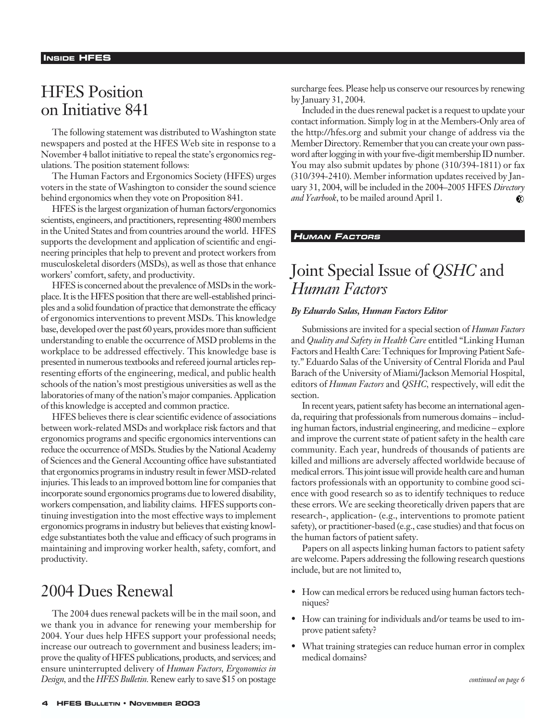# HFES Position on Initiative 841

The following statement was distributed to Washington state newspapers and posted at the HFES Web site in response to a November 4 ballot initiative to repeal the state's ergonomics regulations. The position statement follows:

The Human Factors and Ergonomics Society (HFES) urges voters in the state of Washington to consider the sound science behind ergonomics when they vote on Proposition 841.

HFES is the largest organization of human factors/ergonomics scientists, engineers, and practitioners, representing 4800 members in the United States and from countries around the world. HFES supports the development and application of scientific and engineering principles that help to prevent and protect workers from musculoskeletal disorders (MSDs), as well as those that enhance workers' comfort, safety, and productivity.

HFES is concerned about the prevalence of MSDs in the workplace. It is the HFES position that there are well-established principles and a solid foundation of practice that demonstrate the efficacy of ergonomics interventions to prevent MSDs. This knowledge base, developed over the past 60 years, provides more than sufficient understanding to enable the occurrence of MSD problems in the workplace to be addressed effectively. This knowledge base is presented in numerous textbooks and refereed journal articles representing efforts of the engineering, medical, and public health schools of the nation's most prestigious universities as well as the laboratories of many of the nation's major companies. Application of this knowledge is accepted and common practice.

HFES believes there is clear scientific evidence of associations between work-related MSDs and workplace risk factors and that ergonomics programs and specific ergonomics interventions can reduce the occurrence of MSDs. Studies by the National Academy of Sciences and the General Accounting office have substantiated that ergonomics programs in industry result in fewer MSD-related injuries. This leads to an improved bottom line for companies that incorporate sound ergonomics programs due to lowered disability, workers compensation, and liability claims. HFES supports continuing investigation into the most effective ways to implement ergonomics programs in industry but believes that existing knowledge substantiates both the value and efficacy of such programs in maintaining and improving worker health, safety, comfort, and productivity.

# 2004 Dues Renewal

The 2004 dues renewal packets will be in the mail soon, and we thank you in advance for renewing your membership for 2004. Your dues help HFES support your professional needs; increase our outreach to government and business leaders; improve the quality of HFES publications, products, and services; and ensure uninterrupted delivery of *Human Factors, Ergonomics in Design,* and the *HFES Bulletin.* Renew early to save \$15 on postage surcharge fees. Please help us conserve our resources by renewing by January 31, 2004.

Included in the dues renewal packet is a request to update your contact information. Simply log in at the Members-Only area of the http://hfes.org and submit your change of address via the Member Directory. Remember that you can create your own password after logging in with your five-digit membership ID number. You may also submit updates by phone (310/394-1811) or fax (310/394-2410). Member information updates received by January 31, 2004, will be included in the 2004–2005 HFES *Directory and Yearbook*, to be mailed around April 1. ⊛

### **HUMAN FACTORS**

# Joint Special Issue of *QSHC* and *Human Factors*

#### *By Eduardo Salas, Human Factors Editor*

Submissions are invited for a special section of *Human Factors* and *Quality and Safety in Health Care* entitled "Linking Human Factors and Health Care: Techniques for Improving Patient Safety." Eduardo Salas of the University of Central Florida and Paul Barach of the University of Miami/Jackson Memorial Hospital, editors of *Human Factors* and *QSHC,* respectively, will edit the section.

In recent years, patient safety has become an international agenda, requiring that professionals from numerous domains – including human factors, industrial engineering, and medicine – explore and improve the current state of patient safety in the health care community. Each year, hundreds of thousands of patients are killed and millions are adversely affected worldwide because of medical errors. This joint issue will provide health care and human factors professionals with an opportunity to combine good science with good research so as to identify techniques to reduce these errors. We are seeking theoretically driven papers that are research-, application- (e.g., interventions to promote patient safety), or practitioner-based (e.g., case studies) and that focus on the human factors of patient safety.

Papers on all aspects linking human factors to patient safety are welcome. Papers addressing the following research questions include, but are not limited to,

- How can medical errors be reduced using human factors techniques?
- How can training for individuals and/or teams be used to improve patient safety?
- What training strategies can reduce human error in complex medical domains?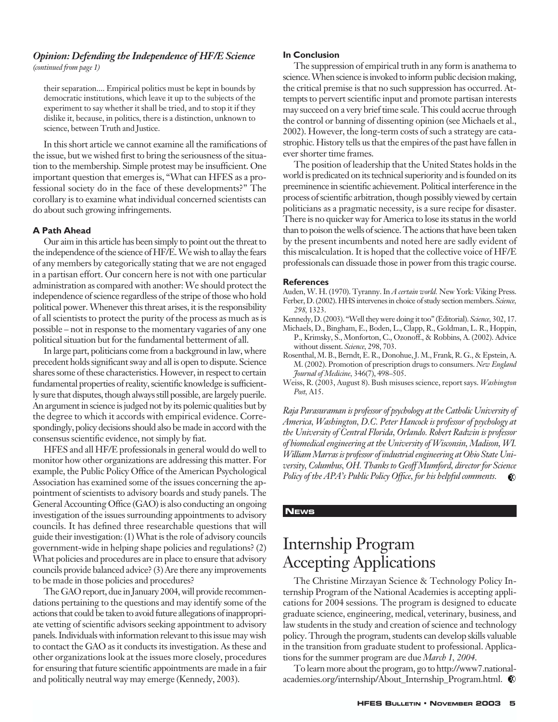### *Opinion: Defending the Independence of HF/E Science (continued from page 1)*

their separation.... Empirical politics must be kept in bounds by democratic institutions, which leave it up to the subjects of the experiment to say whether it shall be tried, and to stop it if they dislike it, because, in politics, there is a distinction, unknown to science, between Truth and Justice.

In this short article we cannot examine all the ramifications of the issue, but we wished first to bring the seriousness of the situation to the membership. Simple protest may be insufficient. One important question that emerges is, "What can HFES as a professional society do in the face of these developments?" The corollary is to examine what individual concerned scientists can do about such growing infringements.

### **A Path Ahead**

Our aim in this article has been simply to point out the threat to the independence of the science of HF/E. We wish to allay the fears of any members by categorically stating that we are not engaged in a partisan effort. Our concern here is not with one particular administration as compared with another: We should protect the independence of science regardless of the stripe of those who hold political power. Whenever this threat arises, it is the responsibility of all scientists to protect the purity of the process as much as is possible – not in response to the momentary vagaries of any one political situation but for the fundamental betterment of all.

In large part, politicians come from a background in law, where precedent holds significant sway and all is open to dispute. Science shares some of these characteristics. However, in respect to certain fundamental properties of reality, scientific knowledge is sufficiently sure that disputes, though always still possible, are largely puerile. An argument in science is judged not by its polemic qualities but by the degree to which it accords with empirical evidence. Correspondingly, policy decisions should also be made in accord with the consensus scientific evidence, not simply by fiat.

HFES and all HF/E professionals in general would do well to monitor how other organizations are addressing this matter. For example, the Public Policy Office of the American Psychological Association has examined some of the issues concerning the appointment of scientists to advisory boards and study panels. The General Accounting Office (GAO) is also conducting an ongoing investigation of the issues surrounding appointments to advisory councils. It has defined three researchable questions that will guide their investigation: (1) What is the role of advisory councils government-wide in helping shape policies and regulations? (2) What policies and procedures are in place to ensure that advisory councils provide balanced advice? (3) Are there any improvements to be made in those policies and procedures?

The GAO report, due in January 2004, will provide recommendations pertaining to the questions and may identify some of the actions that could be taken to avoid future allegations of inappropriate vetting of scientific advisors seeking appointment to advisory panels. Individuals with information relevant to this issue may wish to contact the GAO as it conducts its investigation. As these and other organizations look at the issues more closely, procedures for ensuring that future scientific appointments are made in a fair and politically neutral way may emerge (Kennedy, 2003).

#### **In Conclusion**

The suppression of empirical truth in any form is anathema to science. When science is invoked to inform public decision making, the critical premise is that no such suppression has occurred. Attempts to pervert scientific input and promote partisan interests may succeed on a very brief time scale. This could accrue through the control or banning of dissenting opinion (see Michaels et al., 2002). However, the long-term costs of such a strategy are catastrophic. History tells us that the empires of the past have fallen in ever shorter time frames.

The position of leadership that the United States holds in the world is predicated on its technical superiority and is founded on its preeminence in scientific achievement. Political interference in the process of scientific arbitration, though possibly viewed by certain politicians as a pragmatic necessity, is a sure recipe for disaster. There is no quicker way for America to lose its status in the world than to poison the wells of science. The actions that have been taken by the present incumbents and noted here are sadly evident of this miscalculation. It is hoped that the collective voice of HF/E professionals can dissuade those in power from this tragic course.

#### **References**

Auden, W. H. (1970). Tyranny. In *A certain world.* New York: Viking Press. Ferber, D. (2002). HHS intervenes in choice of study section members. *Science, 298,* 1323.

- Kennedy, D. (2003). "Well they were doing it too" (Editorial). *Science,* 302, 17.
- Michaels, D., Bingham, E., Boden, L., Clapp, R., Goldman, L. R., Hoppin, P., Krimsky, S., Monforton, C., Ozonoff., & Robbins, A. (2002). Advice without dissent. *Science,* 298, 703.
- Rosenthal, M. B., Berndt, E. R., Donohue, J. M., Frank, R. G., & Epstein, A. M. (2002). Promotion of prescription drugs to consumers. *New England Journal of Medicine,* 346(7), 498–505.
- Weiss, R. (2003, August 8). Bush misuses science, report says. *Washington Post,* A15.

*Raja Parasuraman is professor of psychology at the Catholic University of America, Washington, D.C. Peter Hancock is professor of psychology at the University of Central Florida, Orlando. Robert Radwin is professor of biomedical engineering at the University of Wisconsin, Madison, WI. William Marras is professor of industrial engineering at Ohio State University, Columbus, OH. Thanks to Geoff Mumford, director for Science Policy of the APA's Public Policy Office, for his helpful comments.*   $\bullet$ 

### **NEWS**

# Internship Program Accepting Applications

The Christine Mirzayan Science & Technology Policy Internship Program of the National Academies is accepting applications for 2004 sessions. The program is designed to educate graduate science, engineering, medical, veterinary, business, and law students in the study and creation of science and technology policy. Through the program, students can develop skills valuable in the transition from graduate student to professional. Applications for the summer program are due *March 1, 2004*.

To learn more about the program, go to http://www7.nationalacademies.org/internship/About\_Internship\_Program.html.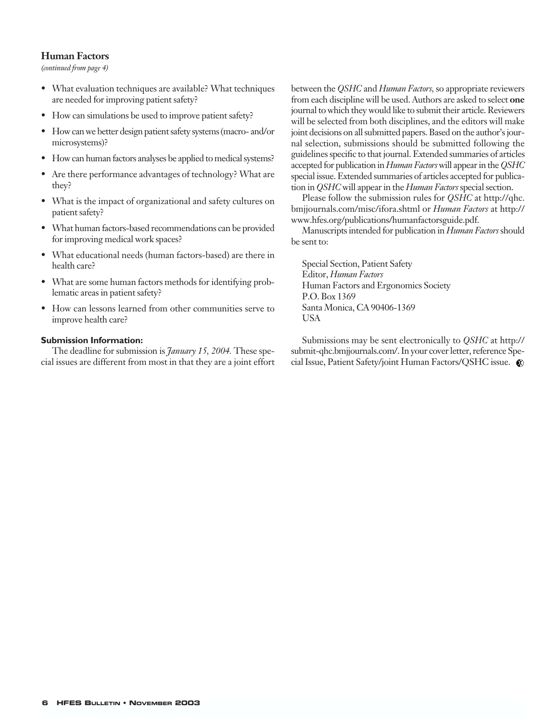### **Human Factors**

*(continued from page 4)*

- What evaluation techniques are available? What techniques are needed for improving patient safety?
- How can simulations be used to improve patient safety?
- How can we better design patient safety systems (macro- and/or microsystems)?
- How can human factors analyses be applied to medical systems?
- Are there performance advantages of technology? What are they?
- What is the impact of organizational and safety cultures on patient safety?
- What human factors-based recommendations can be provided for improving medical work spaces?
- What educational needs (human factors-based) are there in health care?
- What are some human factors methods for identifying problematic areas in patient safety?
- How can lessons learned from other communities serve to improve health care?

### **Submission Information:**

The deadline for submission is *January 15, 2004.* These special issues are different from most in that they are a joint effort between the *QSHC* and *Human Factors,* so appropriate reviewers from each discipline will be used. Authors are asked to select **one** journal to which they would like to submit their article. Reviewers will be selected from both disciplines, and the editors will make joint decisions on all submitted papers. Based on the author's journal selection, submissions should be submitted following the guidelines specific to that journal. Extended summaries of articles accepted for publication in *Human Factors* will appear in the *QSHC* special issue. Extended summaries of articles accepted for publication in *QSHC* will appear in the *Human Factors*special section.

Please follow the submission rules for *QSHC* at http://qhc. bmjjournals.com/misc/ifora.shtml or *Human Factors* at http:// www.hfes.org/publications/humanfactorsguide.pdf.

Manuscripts intended for publication in *Human Factors* should be sent to:

Special Section, Patient Safety Editor, *Human Factors* Human Factors and Ergonomics Society P.O. Box 1369 Santa Monica, CA 90406-1369 USA

Submissions may be sent electronically to *QSHC* at http:// submit-qhc.bmjjournals.com/. In your cover letter, reference Special Issue, Patient Safety/joint Human Factors/QSHC issue.